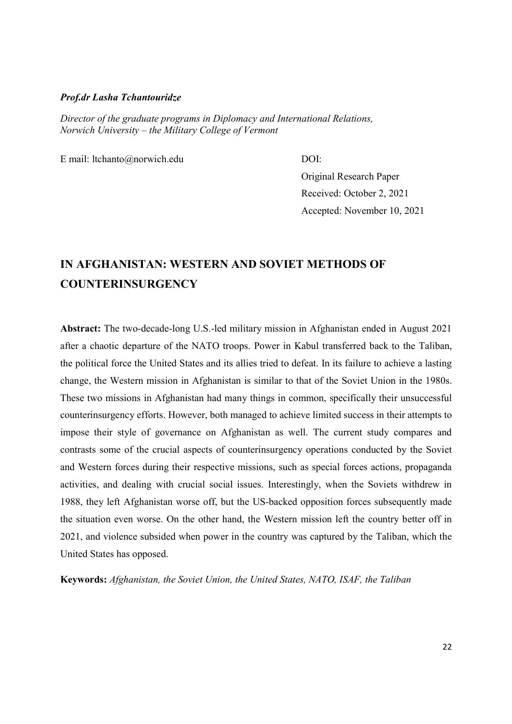#### Prof.dr Lasha Tchantouridze

Director of the graduate programs in Diplomacy and International Relations, Norwich University – the Military College of Vermont

E mail: ltchanto@norwich.edu DOI:

Original Research Paper Received: October 2, 2021 Accepted: November 10, 2021

# IN AFGHANISTAN: WESTERN AND SOVIET METHODS OF **COUNTERINSURGENCY**

Abstract: The two-decade-long U.S.-led military mission in Afghanistan ended in August 2021 after a chaotic departure of the NATO troops. Power in Kabul transferred back to the Taliban, the political force the United States and its allies tried to defeat. In its failure to achieve a lasting change, the Western mission in Afghanistan is similar to that of the Soviet Union in the 1980s. These two missions in Afghanistan had many things in common, specifically their unsuccessful counterinsurgency efforts. However, both managed to achieve limited success in their attempts to impose their style of governance on Afghanistan as well. The current study compares and contrasts some of the crucial aspects of counterinsurgency operations conducted by the Soviet and Western forces during their respective missions, such as special forces actions, propaganda activities, and dealing with crucial social issues. Interestingly, when the Soviets withdrew in 1988, they left Afghanistan worse off, but the US-backed opposition forces subsequently made the situation even worse. On the other hand, the Western mission left the country better off in 2021, and violence subsided when power in the country was captured by the Taliban, which the United States has opposed.

Keywords: Afghanistan, the Soviet Union, the United States, NATO, ISAF, the Taliban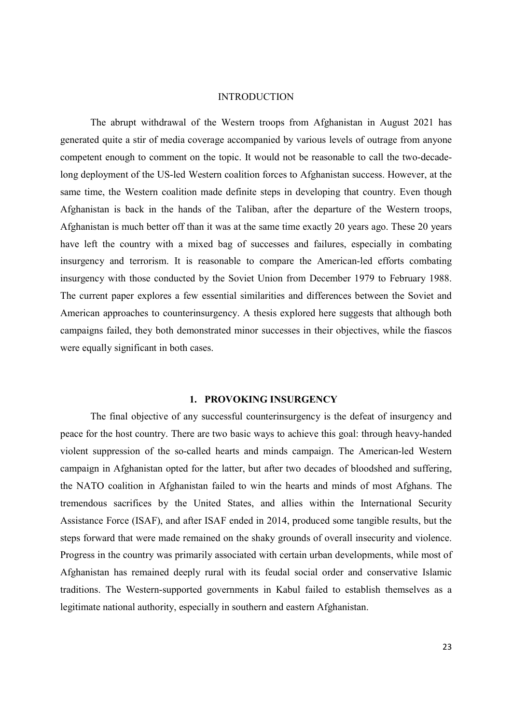#### INTRODUCTION

The abrupt withdrawal of the Western troops from Afghanistan in August 2021 has generated quite a stir of media coverage accompanied by various levels of outrage from anyone competent enough to comment on the topic. It would not be reasonable to call the two-decadelong deployment of the US-led Western coalition forces to Afghanistan success. However, at the same time, the Western coalition made definite steps in developing that country. Even though Afghanistan is back in the hands of the Taliban, after the departure of the Western troops, Afghanistan is much better off than it was at the same time exactly 20 years ago. These 20 years have left the country with a mixed bag of successes and failures, especially in combating insurgency and terrorism. It is reasonable to compare the American-led efforts combating insurgency with those conducted by the Soviet Union from December 1979 to February 1988. The current paper explores a few essential similarities and differences between the Soviet and American approaches to counterinsurgency. A thesis explored here suggests that although both campaigns failed, they both demonstrated minor successes in their objectives, while the fiascos were equally significant in both cases.

## 1. PROVOKING INSURGENCY

The final objective of any successful counterinsurgency is the defeat of insurgency and peace for the host country. There are two basic ways to achieve this goal: through heavy-handed violent suppression of the so-called hearts and minds campaign. The American-led Western campaign in Afghanistan opted for the latter, but after two decades of bloodshed and suffering, the NATO coalition in Afghanistan failed to win the hearts and minds of most Afghans. The tremendous sacrifices by the United States, and allies within the International Security Assistance Force (ISAF), and after ISAF ended in 2014, produced some tangible results, but the steps forward that were made remained on the shaky grounds of overall insecurity and violence. Progress in the country was primarily associated with certain urban developments, while most of Afghanistan has remained deeply rural with its feudal social order and conservative Islamic traditions. The Western-supported governments in Kabul failed to establish themselves as a legitimate national authority, especially in southern and eastern Afghanistan.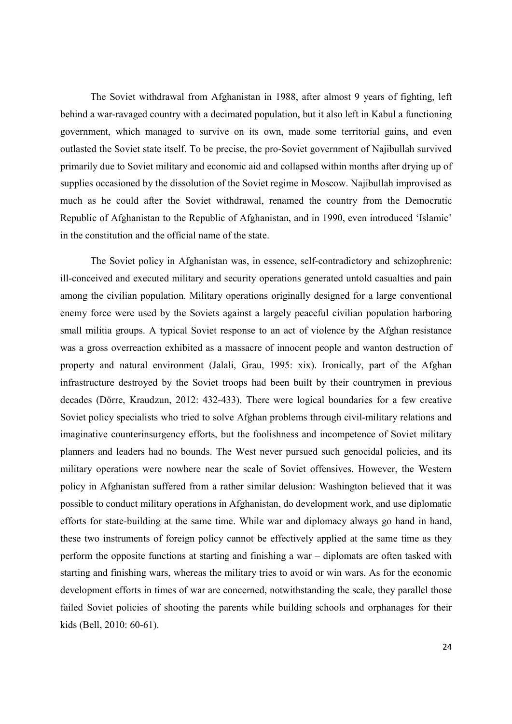The Soviet withdrawal from Afghanistan in 1988, after almost 9 years of fighting, left behind a war-ravaged country with a decimated population, but it also left in Kabul a functioning government, which managed to survive on its own, made some territorial gains, and even outlasted the Soviet state itself. To be precise, the pro-Soviet government of Najibullah survived primarily due to Soviet military and economic aid and collapsed within months after drying up of supplies occasioned by the dissolution of the Soviet regime in Moscow. Najibullah improvised as much as he could after the Soviet withdrawal, renamed the country from the Democratic Republic of Afghanistan to the Republic of Afghanistan, and in 1990, even introduced 'Islamic' in the constitution and the official name of the state.

The Soviet policy in Afghanistan was, in essence, self-contradictory and schizophrenic: ill-conceived and executed military and security operations generated untold casualties and pain among the civilian population. Military operations originally designed for a large conventional enemy force were used by the Soviets against a largely peaceful civilian population harboring small militia groups. A typical Soviet response to an act of violence by the Afghan resistance was a gross overreaction exhibited as a massacre of innocent people and wanton destruction of property and natural environment (Jalali, Grau, 1995: xix). Ironically, part of the Afghan infrastructure destroyed by the Soviet troops had been built by their countrymen in previous decades (Dörre, Kraudzun, 2012: 432-433). There were logical boundaries for a few creative Soviet policy specialists who tried to solve Afghan problems through civil-military relations and imaginative counterinsurgency efforts, but the foolishness and incompetence of Soviet military planners and leaders had no bounds. The West never pursued such genocidal policies, and its military operations were nowhere near the scale of Soviet offensives. However, the Western policy in Afghanistan suffered from a rather similar delusion: Washington believed that it was possible to conduct military operations in Afghanistan, do development work, and use diplomatic efforts for state-building at the same time. While war and diplomacy always go hand in hand, these two instruments of foreign policy cannot be effectively applied at the same time as they perform the opposite functions at starting and finishing a war – diplomats are often tasked with starting and finishing wars, whereas the military tries to avoid or win wars. As for the economic development efforts in times of war are concerned, notwithstanding the scale, they parallel those failed Soviet policies of shooting the parents while building schools and orphanages for their kids (Bell, 2010: 60-61).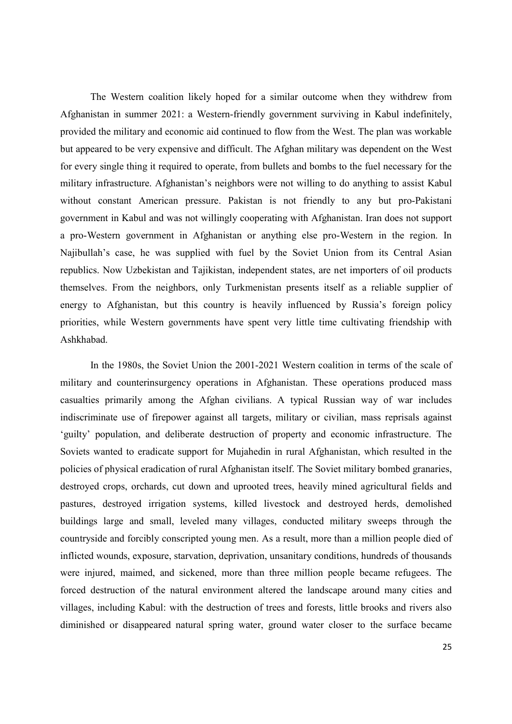The Western coalition likely hoped for a similar outcome when they withdrew from Afghanistan in summer 2021: a Western-friendly government surviving in Kabul indefinitely, provided the military and economic aid continued to flow from the West. The plan was workable but appeared to be very expensive and difficult. The Afghan military was dependent on the West for every single thing it required to operate, from bullets and bombs to the fuel necessary for the military infrastructure. Afghanistan's neighbors were not willing to do anything to assist Kabul without constant American pressure. Pakistan is not friendly to any but pro-Pakistani government in Kabul and was not willingly cooperating with Afghanistan. Iran does not support a pro-Western government in Afghanistan or anything else pro-Western in the region. In Najibullah's case, he was supplied with fuel by the Soviet Union from its Central Asian republics. Now Uzbekistan and Tajikistan, independent states, are net importers of oil products themselves. From the neighbors, only Turkmenistan presents itself as a reliable supplier of energy to Afghanistan, but this country is heavily influenced by Russia's foreign policy priorities, while Western governments have spent very little time cultivating friendship with Ashkhabad.

In the 1980s, the Soviet Union the 2001-2021 Western coalition in terms of the scale of military and counterinsurgency operations in Afghanistan. These operations produced mass casualties primarily among the Afghan civilians. A typical Russian way of war includes indiscriminate use of firepower against all targets, military or civilian, mass reprisals against 'guilty' population, and deliberate destruction of property and economic infrastructure. The Soviets wanted to eradicate support for Mujahedin in rural Afghanistan, which resulted in the policies of physical eradication of rural Afghanistan itself. The Soviet military bombed granaries, destroyed crops, orchards, cut down and uprooted trees, heavily mined agricultural fields and pastures, destroyed irrigation systems, killed livestock and destroyed herds, demolished buildings large and small, leveled many villages, conducted military sweeps through the countryside and forcibly conscripted young men. As a result, more than a million people died of inflicted wounds, exposure, starvation, deprivation, unsanitary conditions, hundreds of thousands were injured, maimed, and sickened, more than three million people became refugees. The forced destruction of the natural environment altered the landscape around many cities and villages, including Kabul: with the destruction of trees and forests, little brooks and rivers also diminished or disappeared natural spring water, ground water closer to the surface became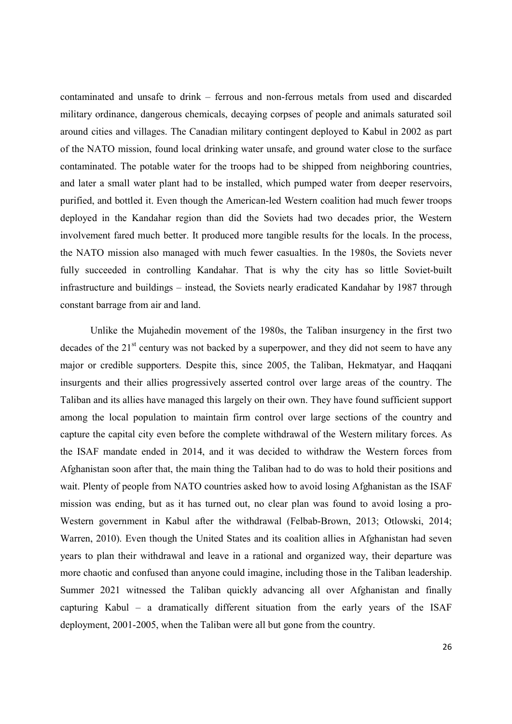contaminated and unsafe to drink – ferrous and non-ferrous metals from used and discarded military ordinance, dangerous chemicals, decaying corpses of people and animals saturated soil around cities and villages. The Canadian military contingent deployed to Kabul in 2002 as part of the NATO mission, found local drinking water unsafe, and ground water close to the surface contaminated. The potable water for the troops had to be shipped from neighboring countries, and later a small water plant had to be installed, which pumped water from deeper reservoirs, purified, and bottled it. Even though the American-led Western coalition had much fewer troops deployed in the Kandahar region than did the Soviets had two decades prior, the Western involvement fared much better. It produced more tangible results for the locals. In the process, the NATO mission also managed with much fewer casualties. In the 1980s, the Soviets never fully succeeded in controlling Kandahar. That is why the city has so little Soviet-built infrastructure and buildings – instead, the Soviets nearly eradicated Kandahar by 1987 through constant barrage from air and land.

Unlike the Mujahedin movement of the 1980s, the Taliban insurgency in the first two decades of the 21<sup>st</sup> century was not backed by a superpower, and they did not seem to have any major or credible supporters. Despite this, since 2005, the Taliban, Hekmatyar, and Haqqani insurgents and their allies progressively asserted control over large areas of the country. The Taliban and its allies have managed this largely on their own. They have found sufficient support among the local population to maintain firm control over large sections of the country and capture the capital city even before the complete withdrawal of the Western military forces. As the ISAF mandate ended in 2014, and it was decided to withdraw the Western forces from Afghanistan soon after that, the main thing the Taliban had to do was to hold their positions and wait. Plenty of people from NATO countries asked how to avoid losing Afghanistan as the ISAF mission was ending, but as it has turned out, no clear plan was found to avoid losing a pro-Western government in Kabul after the withdrawal (Felbab-Brown, 2013; Otlowski, 2014; Warren, 2010). Even though the United States and its coalition allies in Afghanistan had seven years to plan their withdrawal and leave in a rational and organized way, their departure was more chaotic and confused than anyone could imagine, including those in the Taliban leadership. Summer 2021 witnessed the Taliban quickly advancing all over Afghanistan and finally capturing Kabul – a dramatically different situation from the early years of the ISAF deployment, 2001-2005, when the Taliban were all but gone from the country.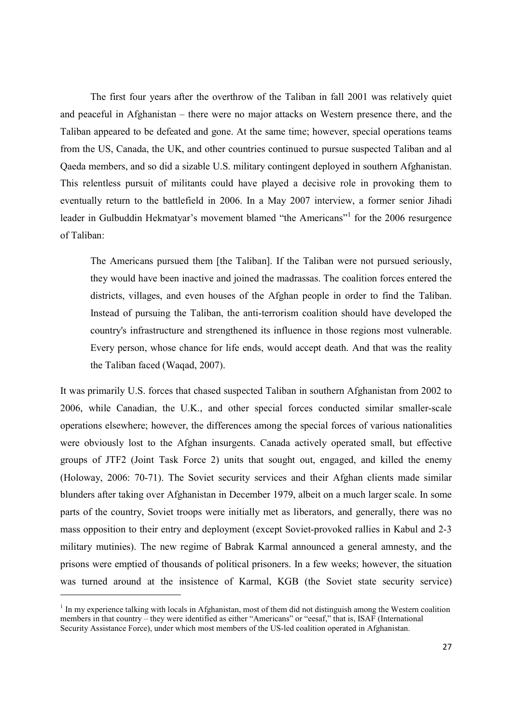The first four years after the overthrow of the Taliban in fall 2001 was relatively quiet and peaceful in Afghanistan – there were no major attacks on Western presence there, and the Taliban appeared to be defeated and gone. At the same time; however, special operations teams from the US, Canada, the UK, and other countries continued to pursue suspected Taliban and al Qaeda members, and so did a sizable U.S. military contingent deployed in southern Afghanistan. This relentless pursuit of militants could have played a decisive role in provoking them to eventually return to the battlefield in 2006. In a May 2007 interview, a former senior Jihadi leader in Gulbuddin Hekmatyar's movement blamed "the Americans"<sup>1</sup> for the 2006 resurgence of Taliban:

The Americans pursued them [the Taliban]. If the Taliban were not pursued seriously, they would have been inactive and joined the madrassas. The coalition forces entered the districts, villages, and even houses of the Afghan people in order to find the Taliban. Instead of pursuing the Taliban, the anti-terrorism coalition should have developed the country's infrastructure and strengthened its influence in those regions most vulnerable. Every person, whose chance for life ends, would accept death. And that was the reality the Taliban faced (Waqad, 2007).

It was primarily U.S. forces that chased suspected Taliban in southern Afghanistan from 2002 to 2006, while Canadian, the U.K., and other special forces conducted similar smaller-scale operations elsewhere; however, the differences among the special forces of various nationalities were obviously lost to the Afghan insurgents. Canada actively operated small, but effective groups of JTF2 (Joint Task Force 2) units that sought out, engaged, and killed the enemy (Holoway, 2006: 70-71). The Soviet security services and their Afghan clients made similar blunders after taking over Afghanistan in December 1979, albeit on a much larger scale. In some parts of the country, Soviet troops were initially met as liberators, and generally, there was no mass opposition to their entry and deployment (except Soviet-provoked rallies in Kabul and 2-3 military mutinies). The new regime of Babrak Karmal announced a general amnesty, and the prisons were emptied of thousands of political prisoners. In a few weeks; however, the situation was turned around at the insistence of Karmal, KGB (the Soviet state security service)

-

 $1$  In my experience talking with locals in Afghanistan, most of them did not distinguish among the Western coalition members in that country – they were identified as either "Americans" or "eesaf," that is, ISAF (International Security Assistance Force), under which most members of the US-led coalition operated in Afghanistan.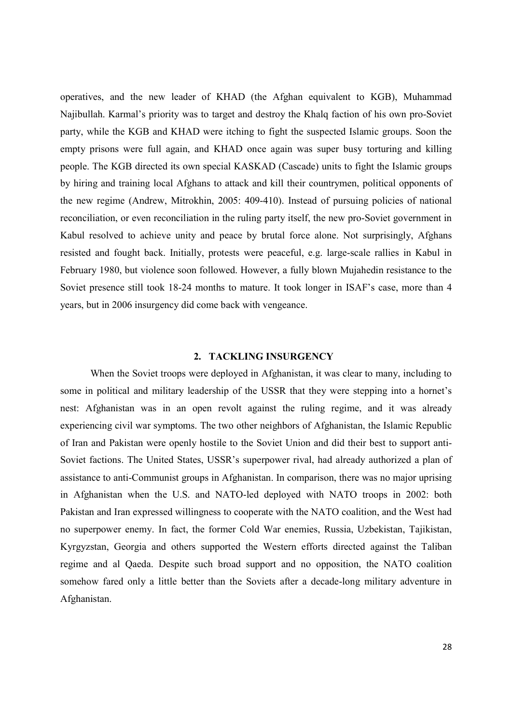operatives, and the new leader of KHAD (the Afghan equivalent to KGB), Muhammad Najibullah. Karmal's priority was to target and destroy the Khalq faction of his own pro-Soviet party, while the KGB and KHAD were itching to fight the suspected Islamic groups. Soon the empty prisons were full again, and KHAD once again was super busy torturing and killing people. The KGB directed its own special KASKAD (Cascade) units to fight the Islamic groups by hiring and training local Afghans to attack and kill their countrymen, political opponents of the new regime (Andrew, Mitrokhin, 2005: 409-410). Instead of pursuing policies of national reconciliation, or even reconciliation in the ruling party itself, the new pro-Soviet government in Kabul resolved to achieve unity and peace by brutal force alone. Not surprisingly, Afghans resisted and fought back. Initially, protests were peaceful, e.g. large-scale rallies in Kabul in February 1980, but violence soon followed. However, a fully blown Mujahedin resistance to the Soviet presence still took 18-24 months to mature. It took longer in ISAF's case, more than 4 years, but in 2006 insurgency did come back with vengeance.

## 2. TACKLING INSURGENCY

When the Soviet troops were deployed in Afghanistan, it was clear to many, including to some in political and military leadership of the USSR that they were stepping into a hornet's nest: Afghanistan was in an open revolt against the ruling regime, and it was already experiencing civil war symptoms. The two other neighbors of Afghanistan, the Islamic Republic of Iran and Pakistan were openly hostile to the Soviet Union and did their best to support anti-Soviet factions. The United States, USSR's superpower rival, had already authorized a plan of assistance to anti-Communist groups in Afghanistan. In comparison, there was no major uprising in Afghanistan when the U.S. and NATO-led deployed with NATO troops in 2002: both Pakistan and Iran expressed willingness to cooperate with the NATO coalition, and the West had no superpower enemy. In fact, the former Cold War enemies, Russia, Uzbekistan, Tajikistan, Kyrgyzstan, Georgia and others supported the Western efforts directed against the Taliban regime and al Qaeda. Despite such broad support and no opposition, the NATO coalition somehow fared only a little better than the Soviets after a decade-long military adventure in Afghanistan.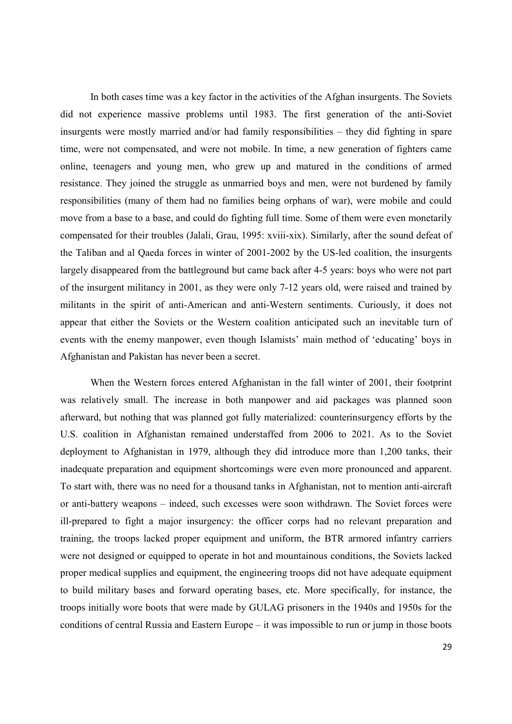In both cases time was a key factor in the activities of the Afghan insurgents. The Soviets did not experience massive problems until 1983. The first generation of the anti-Soviet insurgents were mostly married and/or had family responsibilities – they did fighting in spare time, were not compensated, and were not mobile. In time, a new generation of fighters came online, teenagers and young men, who grew up and matured in the conditions of armed resistance. They joined the struggle as unmarried boys and men, were not burdened by family responsibilities (many of them had no families being orphans of war), were mobile and could move from a base to a base, and could do fighting full time. Some of them were even monetarily compensated for their troubles (Jalali, Grau, 1995: xviii-xix). Similarly, after the sound defeat of the Taliban and al Qaeda forces in winter of 2001-2002 by the US-led coalition, the insurgents largely disappeared from the battleground but came back after 4-5 years: boys who were not part of the insurgent militancy in 2001, as they were only 7-12 years old, were raised and trained by militants in the spirit of anti-American and anti-Western sentiments. Curiously, it does not appear that either the Soviets or the Western coalition anticipated such an inevitable turn of events with the enemy manpower, even though Islamists' main method of 'educating' boys in Afghanistan and Pakistan has never been a secret.

When the Western forces entered Afghanistan in the fall winter of 2001, their footprint was relatively small. The increase in both manpower and aid packages was planned soon afterward, but nothing that was planned got fully materialized: counterinsurgency efforts by the U.S. coalition in Afghanistan remained understaffed from 2006 to 2021. As to the Soviet deployment to Afghanistan in 1979, although they did introduce more than 1,200 tanks, their inadequate preparation and equipment shortcomings were even more pronounced and apparent. To start with, there was no need for a thousand tanks in Afghanistan, not to mention anti-aircraft or anti-battery weapons – indeed, such excesses were soon withdrawn. The Soviet forces were ill-prepared to fight a major insurgency: the officer corps had no relevant preparation and training, the troops lacked proper equipment and uniform, the BTR armored infantry carriers were not designed or equipped to operate in hot and mountainous conditions, the Soviets lacked proper medical supplies and equipment, the engineering troops did not have adequate equipment to build military bases and forward operating bases, etc. More specifically, for instance, the troops initially wore boots that were made by GULAG prisoners in the 1940s and 1950s for the conditions of central Russia and Eastern Europe – it was impossible to run or jump in those boots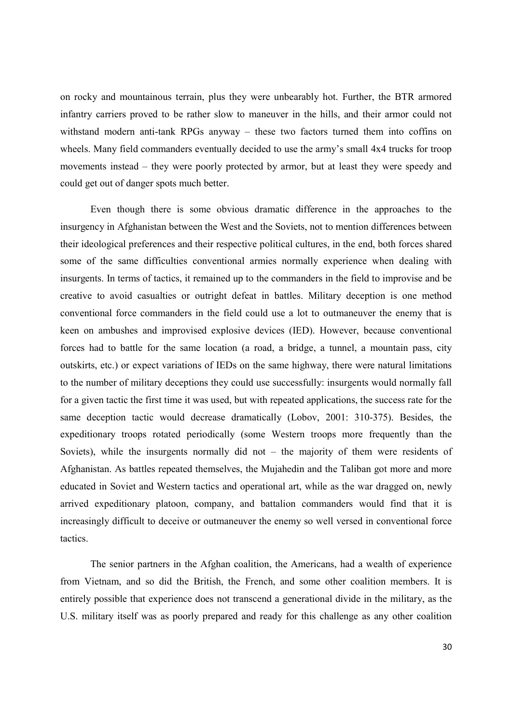on rocky and mountainous terrain, plus they were unbearably hot. Further, the BTR armored infantry carriers proved to be rather slow to maneuver in the hills, and their armor could not withstand modern anti-tank RPGs anyway – these two factors turned them into coffins on wheels. Many field commanders eventually decided to use the army's small 4x4 trucks for troop movements instead – they were poorly protected by armor, but at least they were speedy and could get out of danger spots much better.

Even though there is some obvious dramatic difference in the approaches to the insurgency in Afghanistan between the West and the Soviets, not to mention differences between their ideological preferences and their respective political cultures, in the end, both forces shared some of the same difficulties conventional armies normally experience when dealing with insurgents. In terms of tactics, it remained up to the commanders in the field to improvise and be creative to avoid casualties or outright defeat in battles. Military deception is one method conventional force commanders in the field could use a lot to outmaneuver the enemy that is keen on ambushes and improvised explosive devices (IED). However, because conventional forces had to battle for the same location (a road, a bridge, a tunnel, a mountain pass, city outskirts, etc.) or expect variations of IEDs on the same highway, there were natural limitations to the number of military deceptions they could use successfully: insurgents would normally fall for a given tactic the first time it was used, but with repeated applications, the success rate for the same deception tactic would decrease dramatically (Lobov, 2001: 310-375). Besides, the expeditionary troops rotated periodically (some Western troops more frequently than the Soviets), while the insurgents normally did not – the majority of them were residents of Afghanistan. As battles repeated themselves, the Mujahedin and the Taliban got more and more educated in Soviet and Western tactics and operational art, while as the war dragged on, newly arrived expeditionary platoon, company, and battalion commanders would find that it is increasingly difficult to deceive or outmaneuver the enemy so well versed in conventional force tactics.

The senior partners in the Afghan coalition, the Americans, had a wealth of experience from Vietnam, and so did the British, the French, and some other coalition members. It is entirely possible that experience does not transcend a generational divide in the military, as the U.S. military itself was as poorly prepared and ready for this challenge as any other coalition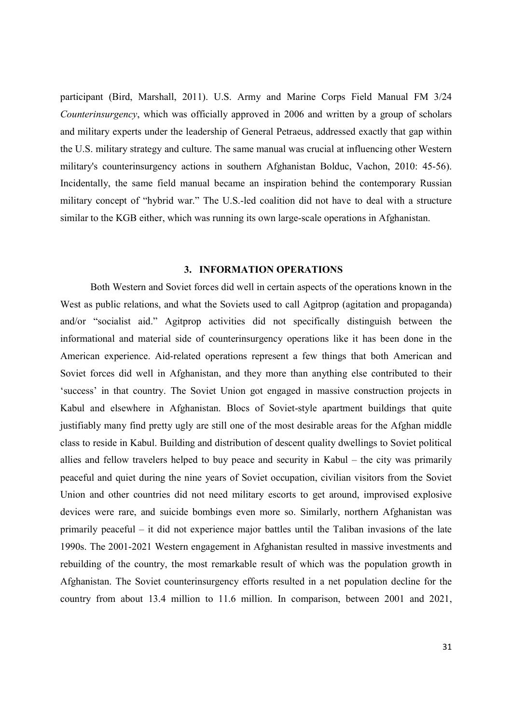participant (Bird, Marshall, 2011). U.S. Army and Marine Corps Field Manual FM 3/24 Counterinsurgency, which was officially approved in 2006 and written by a group of scholars and military experts under the leadership of General Petraeus, addressed exactly that gap within the U.S. military strategy and culture. The same manual was crucial at influencing other Western military's counterinsurgency actions in southern Afghanistan Bolduc, Vachon, 2010: 45-56). Incidentally, the same field manual became an inspiration behind the contemporary Russian military concept of "hybrid war." The U.S.-led coalition did not have to deal with a structure similar to the KGB either, which was running its own large-scale operations in Afghanistan.

# 3. INFORMATION OPERATIONS

Both Western and Soviet forces did well in certain aspects of the operations known in the West as public relations, and what the Soviets used to call Agitprop (agitation and propaganda) and/or "socialist aid." Agitprop activities did not specifically distinguish between the informational and material side of counterinsurgency operations like it has been done in the American experience. Aid-related operations represent a few things that both American and Soviet forces did well in Afghanistan, and they more than anything else contributed to their 'success' in that country. The Soviet Union got engaged in massive construction projects in Kabul and elsewhere in Afghanistan. Blocs of Soviet-style apartment buildings that quite justifiably many find pretty ugly are still one of the most desirable areas for the Afghan middle class to reside in Kabul. Building and distribution of descent quality dwellings to Soviet political allies and fellow travelers helped to buy peace and security in Kabul – the city was primarily peaceful and quiet during the nine years of Soviet occupation, civilian visitors from the Soviet Union and other countries did not need military escorts to get around, improvised explosive devices were rare, and suicide bombings even more so. Similarly, northern Afghanistan was primarily peaceful – it did not experience major battles until the Taliban invasions of the late 1990s. The 2001-2021 Western engagement in Afghanistan resulted in massive investments and rebuilding of the country, the most remarkable result of which was the population growth in Afghanistan. The Soviet counterinsurgency efforts resulted in a net population decline for the country from about 13.4 million to 11.6 million. In comparison, between 2001 and 2021,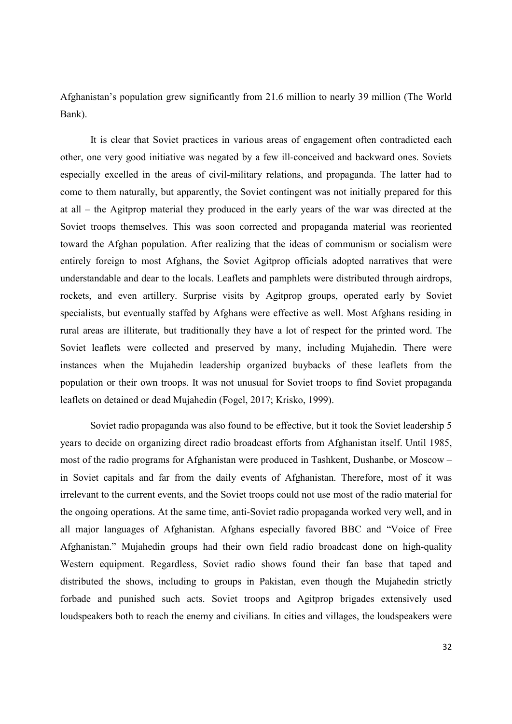Afghanistan's population grew significantly from 21.6 million to nearly 39 million (The World Bank).

It is clear that Soviet practices in various areas of engagement often contradicted each other, one very good initiative was negated by a few ill-conceived and backward ones. Soviets especially excelled in the areas of civil-military relations, and propaganda. The latter had to come to them naturally, but apparently, the Soviet contingent was not initially prepared for this at all – the Agitprop material they produced in the early years of the war was directed at the Soviet troops themselves. This was soon corrected and propaganda material was reoriented toward the Afghan population. After realizing that the ideas of communism or socialism were entirely foreign to most Afghans, the Soviet Agitprop officials adopted narratives that were understandable and dear to the locals. Leaflets and pamphlets were distributed through airdrops, rockets, and even artillery. Surprise visits by Agitprop groups, operated early by Soviet specialists, but eventually staffed by Afghans were effective as well. Most Afghans residing in rural areas are illiterate, but traditionally they have a lot of respect for the printed word. The Soviet leaflets were collected and preserved by many, including Mujahedin. There were instances when the Mujahedin leadership organized buybacks of these leaflets from the population or their own troops. It was not unusual for Soviet troops to find Soviet propaganda leaflets on detained or dead Mujahedin (Fogel, 2017; Krisko, 1999).

Soviet radio propaganda was also found to be effective, but it took the Soviet leadership 5 years to decide on organizing direct radio broadcast efforts from Afghanistan itself. Until 1985, most of the radio programs for Afghanistan were produced in Tashkent, Dushanbe, or Moscow – in Soviet capitals and far from the daily events of Afghanistan. Therefore, most of it was irrelevant to the current events, and the Soviet troops could not use most of the radio material for the ongoing operations. At the same time, anti-Soviet radio propaganda worked very well, and in all major languages of Afghanistan. Afghans especially favored BBC and "Voice of Free Afghanistan." Mujahedin groups had their own field radio broadcast done on high-quality Western equipment. Regardless, Soviet radio shows found their fan base that taped and distributed the shows, including to groups in Pakistan, even though the Mujahedin strictly forbade and punished such acts. Soviet troops and Agitprop brigades extensively used loudspeakers both to reach the enemy and civilians. In cities and villages, the loudspeakers were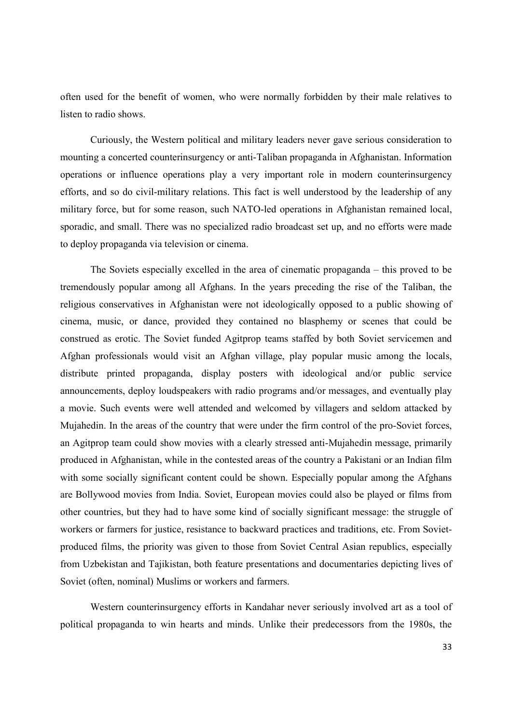often used for the benefit of women, who were normally forbidden by their male relatives to listen to radio shows.

Curiously, the Western political and military leaders never gave serious consideration to mounting a concerted counterinsurgency or anti-Taliban propaganda in Afghanistan. Information operations or influence operations play a very important role in modern counterinsurgency efforts, and so do civil-military relations. This fact is well understood by the leadership of any military force, but for some reason, such NATO-led operations in Afghanistan remained local, sporadic, and small. There was no specialized radio broadcast set up, and no efforts were made to deploy propaganda via television or cinema.

The Soviets especially excelled in the area of cinematic propaganda – this proved to be tremendously popular among all Afghans. In the years preceding the rise of the Taliban, the religious conservatives in Afghanistan were not ideologically opposed to a public showing of cinema, music, or dance, provided they contained no blasphemy or scenes that could be construed as erotic. The Soviet funded Agitprop teams staffed by both Soviet servicemen and Afghan professionals would visit an Afghan village, play popular music among the locals, distribute printed propaganda, display posters with ideological and/or public service announcements, deploy loudspeakers with radio programs and/or messages, and eventually play a movie. Such events were well attended and welcomed by villagers and seldom attacked by Mujahedin. In the areas of the country that were under the firm control of the pro-Soviet forces, an Agitprop team could show movies with a clearly stressed anti-Mujahedin message, primarily produced in Afghanistan, while in the contested areas of the country a Pakistani or an Indian film with some socially significant content could be shown. Especially popular among the Afghans are Bollywood movies from India. Soviet, European movies could also be played or films from other countries, but they had to have some kind of socially significant message: the struggle of workers or farmers for justice, resistance to backward practices and traditions, etc. From Sovietproduced films, the priority was given to those from Soviet Central Asian republics, especially from Uzbekistan and Tajikistan, both feature presentations and documentaries depicting lives of Soviet (often, nominal) Muslims or workers and farmers.

Western counterinsurgency efforts in Kandahar never seriously involved art as a tool of political propaganda to win hearts and minds. Unlike their predecessors from the 1980s, the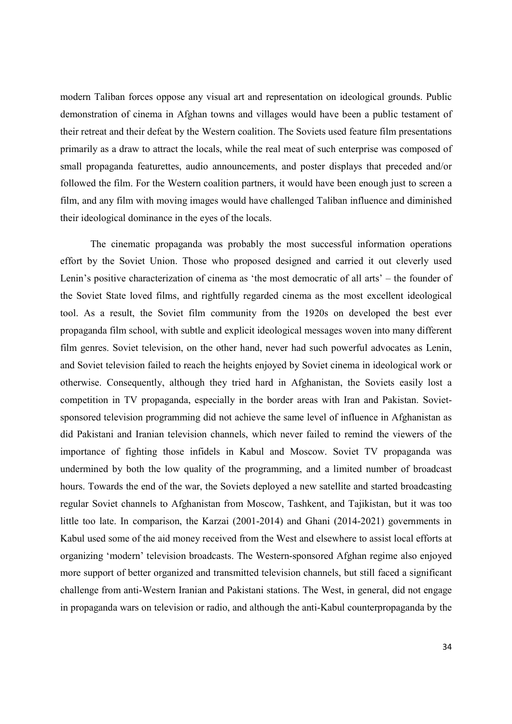modern Taliban forces oppose any visual art and representation on ideological grounds. Public demonstration of cinema in Afghan towns and villages would have been a public testament of their retreat and their defeat by the Western coalition. The Soviets used feature film presentations primarily as a draw to attract the locals, while the real meat of such enterprise was composed of small propaganda featurettes, audio announcements, and poster displays that preceded and/or followed the film. For the Western coalition partners, it would have been enough just to screen a film, and any film with moving images would have challenged Taliban influence and diminished their ideological dominance in the eyes of the locals.

The cinematic propaganda was probably the most successful information operations effort by the Soviet Union. Those who proposed designed and carried it out cleverly used Lenin's positive characterization of cinema as 'the most democratic of all arts' – the founder of the Soviet State loved films, and rightfully regarded cinema as the most excellent ideological tool. As a result, the Soviet film community from the 1920s on developed the best ever propaganda film school, with subtle and explicit ideological messages woven into many different film genres. Soviet television, on the other hand, never had such powerful advocates as Lenin, and Soviet television failed to reach the heights enjoyed by Soviet cinema in ideological work or otherwise. Consequently, although they tried hard in Afghanistan, the Soviets easily lost a competition in TV propaganda, especially in the border areas with Iran and Pakistan. Sovietsponsored television programming did not achieve the same level of influence in Afghanistan as did Pakistani and Iranian television channels, which never failed to remind the viewers of the importance of fighting those infidels in Kabul and Moscow. Soviet TV propaganda was undermined by both the low quality of the programming, and a limited number of broadcast hours. Towards the end of the war, the Soviets deployed a new satellite and started broadcasting regular Soviet channels to Afghanistan from Moscow, Tashkent, and Tajikistan, but it was too little too late. In comparison, the Karzai (2001-2014) and Ghani (2014-2021) governments in Kabul used some of the aid money received from the West and elsewhere to assist local efforts at organizing 'modern' television broadcasts. The Western-sponsored Afghan regime also enjoyed more support of better organized and transmitted television channels, but still faced a significant challenge from anti-Western Iranian and Pakistani stations. The West, in general, did not engage in propaganda wars on television or radio, and although the anti-Kabul counterpropaganda by the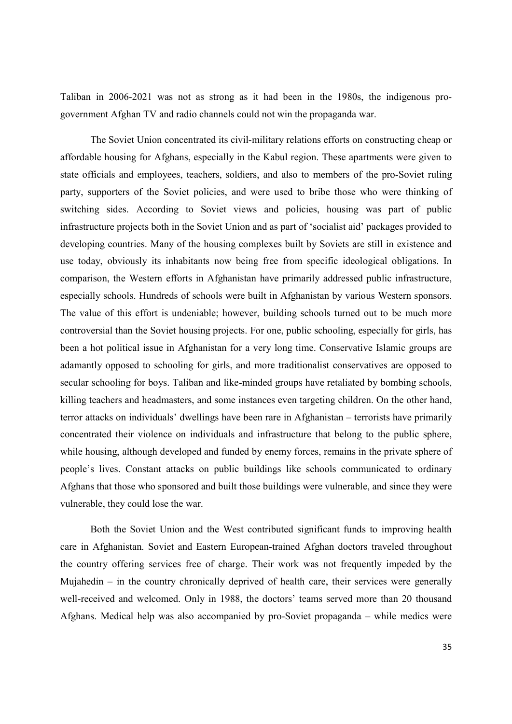Taliban in 2006-2021 was not as strong as it had been in the 1980s, the indigenous progovernment Afghan TV and radio channels could not win the propaganda war.

The Soviet Union concentrated its civil-military relations efforts on constructing cheap or affordable housing for Afghans, especially in the Kabul region. These apartments were given to state officials and employees, teachers, soldiers, and also to members of the pro-Soviet ruling party, supporters of the Soviet policies, and were used to bribe those who were thinking of switching sides. According to Soviet views and policies, housing was part of public infrastructure projects both in the Soviet Union and as part of 'socialist aid' packages provided to developing countries. Many of the housing complexes built by Soviets are still in existence and use today, obviously its inhabitants now being free from specific ideological obligations. In comparison, the Western efforts in Afghanistan have primarily addressed public infrastructure, especially schools. Hundreds of schools were built in Afghanistan by various Western sponsors. The value of this effort is undeniable; however, building schools turned out to be much more controversial than the Soviet housing projects. For one, public schooling, especially for girls, has been a hot political issue in Afghanistan for a very long time. Conservative Islamic groups are adamantly opposed to schooling for girls, and more traditionalist conservatives are opposed to secular schooling for boys. Taliban and like-minded groups have retaliated by bombing schools, killing teachers and headmasters, and some instances even targeting children. On the other hand, terror attacks on individuals' dwellings have been rare in Afghanistan – terrorists have primarily concentrated their violence on individuals and infrastructure that belong to the public sphere, while housing, although developed and funded by enemy forces, remains in the private sphere of people's lives. Constant attacks on public buildings like schools communicated to ordinary Afghans that those who sponsored and built those buildings were vulnerable, and since they were vulnerable, they could lose the war.

Both the Soviet Union and the West contributed significant funds to improving health care in Afghanistan. Soviet and Eastern European-trained Afghan doctors traveled throughout the country offering services free of charge. Their work was not frequently impeded by the Mujahedin – in the country chronically deprived of health care, their services were generally well-received and welcomed. Only in 1988, the doctors' teams served more than 20 thousand Afghans. Medical help was also accompanied by pro-Soviet propaganda – while medics were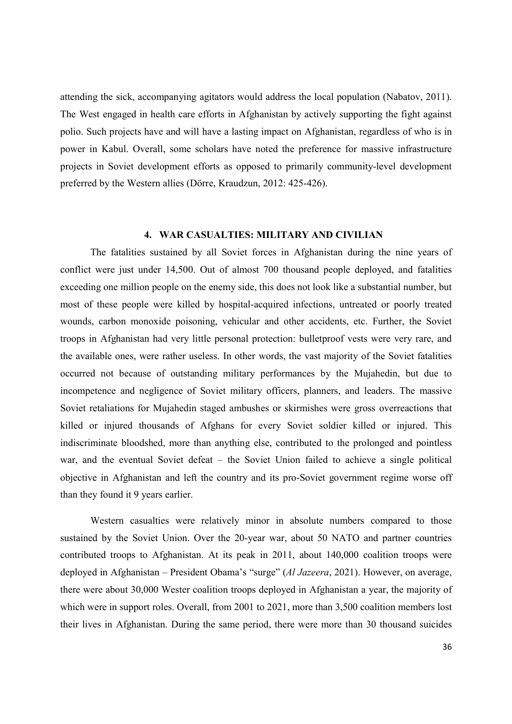attending the sick, accompanying agitators would address the local population (Nabatov, 2011). The West engaged in health care efforts in Afghanistan by actively supporting the fight against polio. Such projects have and will have a lasting impact on Afghanistan, regardless of who is in power in Kabul. Overall, some scholars have noted the preference for massive infrastructure projects in Soviet development efforts as opposed to primarily community-level development preferred by the Western allies (Dörre, Kraudzun, 2012: 425-426).

## 4. WAR CASUALTIES: MILITARY AND CIVILIAN

The fatalities sustained by all Soviet forces in Afghanistan during the nine years of conflict were just under 14,500. Out of almost 700 thousand people deployed, and fatalities exceeding one million people on the enemy side, this does not look like a substantial number, but most of these people were killed by hospital-acquired infections, untreated or poorly treated wounds, carbon monoxide poisoning, vehicular and other accidents, etc. Further, the Soviet troops in Afghanistan had very little personal protection: bulletproof vests were very rare, and the available ones, were rather useless. In other words, the vast majority of the Soviet fatalities occurred not because of outstanding military performances by the Mujahedin, but due to incompetence and negligence of Soviet military officers, planners, and leaders. The massive Soviet retaliations for Mujahedin staged ambushes or skirmishes were gross overreactions that killed or injured thousands of Afghans for every Soviet soldier killed or injured. This indiscriminate bloodshed, more than anything else, contributed to the prolonged and pointless war, and the eventual Soviet defeat – the Soviet Union failed to achieve a single political objective in Afghanistan and left the country and its pro-Soviet government regime worse off than they found it 9 years earlier.

Western casualties were relatively minor in absolute numbers compared to those sustained by the Soviet Union. Over the 20-year war, about 50 NATO and partner countries contributed troops to Afghanistan. At its peak in 2011, about 140,000 coalition troops were deployed in Afghanistan – President Obama's "surge" (Al Jazeera, 2021). However, on average, there were about 30,000 Wester coalition troops deployed in Afghanistan a year, the majority of which were in support roles. Overall, from 2001 to 2021, more than 3,500 coalition members lost their lives in Afghanistan. During the same period, there were more than 30 thousand suicides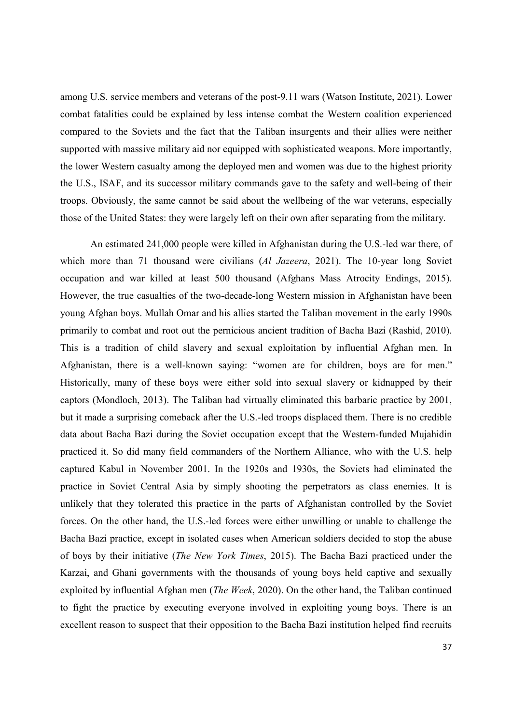among U.S. service members and veterans of the post-9.11 wars (Watson Institute, 2021). Lower combat fatalities could be explained by less intense combat the Western coalition experienced compared to the Soviets and the fact that the Taliban insurgents and their allies were neither supported with massive military aid nor equipped with sophisticated weapons. More importantly, the lower Western casualty among the deployed men and women was due to the highest priority the U.S., ISAF, and its successor military commands gave to the safety and well-being of their troops. Obviously, the same cannot be said about the wellbeing of the war veterans, especially those of the United States: they were largely left on their own after separating from the military.

An estimated 241,000 people were killed in Afghanistan during the U.S.-led war there, of which more than 71 thousand were civilians (Al Jazeera, 2021). The 10-year long Soviet occupation and war killed at least 500 thousand (Afghans Mass Atrocity Endings, 2015). However, the true casualties of the two-decade-long Western mission in Afghanistan have been young Afghan boys. Mullah Omar and his allies started the Taliban movement in the early 1990s primarily to combat and root out the pernicious ancient tradition of Bacha Bazi (Rashid, 2010). This is a tradition of child slavery and sexual exploitation by influential Afghan men. In Afghanistan, there is a well-known saying: "women are for children, boys are for men." Historically, many of these boys were either sold into sexual slavery or kidnapped by their captors (Mondloch, 2013). The Taliban had virtually eliminated this barbaric practice by 2001, but it made a surprising comeback after the U.S.-led troops displaced them. There is no credible data about Bacha Bazi during the Soviet occupation except that the Western-funded Mujahidin practiced it. So did many field commanders of the Northern Alliance, who with the U.S. help captured Kabul in November 2001. In the 1920s and 1930s, the Soviets had eliminated the practice in Soviet Central Asia by simply shooting the perpetrators as class enemies. It is unlikely that they tolerated this practice in the parts of Afghanistan controlled by the Soviet forces. On the other hand, the U.S.-led forces were either unwilling or unable to challenge the Bacha Bazi practice, except in isolated cases when American soldiers decided to stop the abuse of boys by their initiative (The New York Times, 2015). The Bacha Bazi practiced under the Karzai, and Ghani governments with the thousands of young boys held captive and sexually exploited by influential Afghan men (The Week, 2020). On the other hand, the Taliban continued to fight the practice by executing everyone involved in exploiting young boys. There is an excellent reason to suspect that their opposition to the Bacha Bazi institution helped find recruits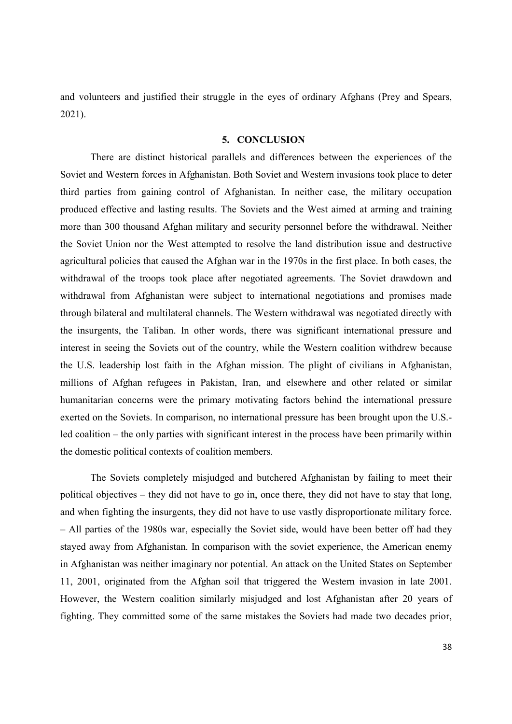and volunteers and justified their struggle in the eyes of ordinary Afghans (Prey and Spears, 2021).

#### 5. CONCLUSION

There are distinct historical parallels and differences between the experiences of the Soviet and Western forces in Afghanistan. Both Soviet and Western invasions took place to deter third parties from gaining control of Afghanistan. In neither case, the military occupation produced effective and lasting results. The Soviets and the West aimed at arming and training more than 300 thousand Afghan military and security personnel before the withdrawal. Neither the Soviet Union nor the West attempted to resolve the land distribution issue and destructive agricultural policies that caused the Afghan war in the 1970s in the first place. In both cases, the withdrawal of the troops took place after negotiated agreements. The Soviet drawdown and withdrawal from Afghanistan were subject to international negotiations and promises made through bilateral and multilateral channels. The Western withdrawal was negotiated directly with the insurgents, the Taliban. In other words, there was significant international pressure and interest in seeing the Soviets out of the country, while the Western coalition withdrew because the U.S. leadership lost faith in the Afghan mission. The plight of civilians in Afghanistan, millions of Afghan refugees in Pakistan, Iran, and elsewhere and other related or similar humanitarian concerns were the primary motivating factors behind the international pressure exerted on the Soviets. In comparison, no international pressure has been brought upon the U.S. led coalition – the only parties with significant interest in the process have been primarily within the domestic political contexts of coalition members.

The Soviets completely misjudged and butchered Afghanistan by failing to meet their political objectives – they did not have to go in, once there, they did not have to stay that long, and when fighting the insurgents, they did not have to use vastly disproportionate military force. – All parties of the 1980s war, especially the Soviet side, would have been better off had they stayed away from Afghanistan. In comparison with the soviet experience, the American enemy in Afghanistan was neither imaginary nor potential. An attack on the United States on September 11, 2001, originated from the Afghan soil that triggered the Western invasion in late 2001. However, the Western coalition similarly misjudged and lost Afghanistan after 20 years of fighting. They committed some of the same mistakes the Soviets had made two decades prior,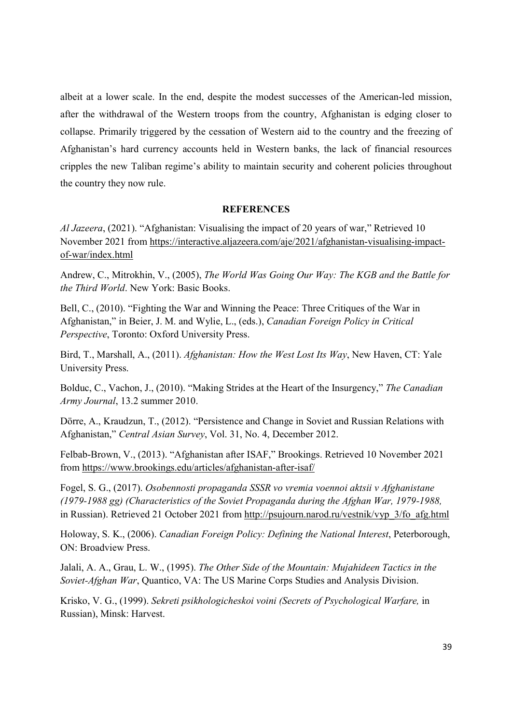albeit at a lower scale. In the end, despite the modest successes of the American-led mission, after the withdrawal of the Western troops from the country, Afghanistan is edging closer to collapse. Primarily triggered by the cessation of Western aid to the country and the freezing of Afghanistan's hard currency accounts held in Western banks, the lack of financial resources cripples the new Taliban regime's ability to maintain security and coherent policies throughout the country they now rule.

#### **REFERENCES**

Al Jazeera, (2021). "Afghanistan: Visualising the impact of 20 years of war," Retrieved 10 November 2021 from https://interactive.aljazeera.com/aje/2021/afghanistan-visualising-impactof-war/index.html

Andrew, C., Mitrokhin, V., (2005), The World Was Going Our Way: The KGB and the Battle for the Third World. New York: Basic Books.

Bell, C., (2010). "Fighting the War and Winning the Peace: Three Critiques of the War in Afghanistan," in Beier, J. M. and Wylie, L., (eds.), Canadian Foreign Policy in Critical Perspective, Toronto: Oxford University Press.

Bird, T., Marshall, A., (2011). Afghanistan: How the West Lost Its Way, New Haven, CT: Yale University Press.

Bolduc, C., Vachon, J., (2010). "Making Strides at the Heart of the Insurgency," The Canadian Army Journal, 13.2 summer 2010.

Dörre, A., Kraudzun, T., (2012). "Persistence and Change in Soviet and Russian Relations with Afghanistan," Central Asian Survey, Vol. 31, No. 4, December 2012.

Felbab-Brown, V., (2013). "Afghanistan after ISAF," Brookings. Retrieved 10 November 2021 from https://www.brookings.edu/articles/afghanistan-after-isaf/

Fogel, S. G., (2017). Osobennosti propaganda SSSR vo vremia voennoi aktsii v Afghanistane (1979-1988 gg) (Characteristics of the Soviet Propaganda during the Afghan War, 1979-1988, in Russian). Retrieved 21 October 2021 from http://psujourn.narod.ru/vestnik/vyp\_3/fo\_afg.html

Holoway, S. K., (2006). Canadian Foreign Policy: Defining the National Interest, Peterborough, ON: Broadview Press.

Jalali, A. A., Grau, L. W., (1995). The Other Side of the Mountain: Mujahideen Tactics in the Soviet-Afghan War, Quantico, VA: The US Marine Corps Studies and Analysis Division.

Krisko, V. G., (1999). Sekreti psikhologicheskoi voini (Secrets of Psychological Warfare, in Russian), Minsk: Harvest.